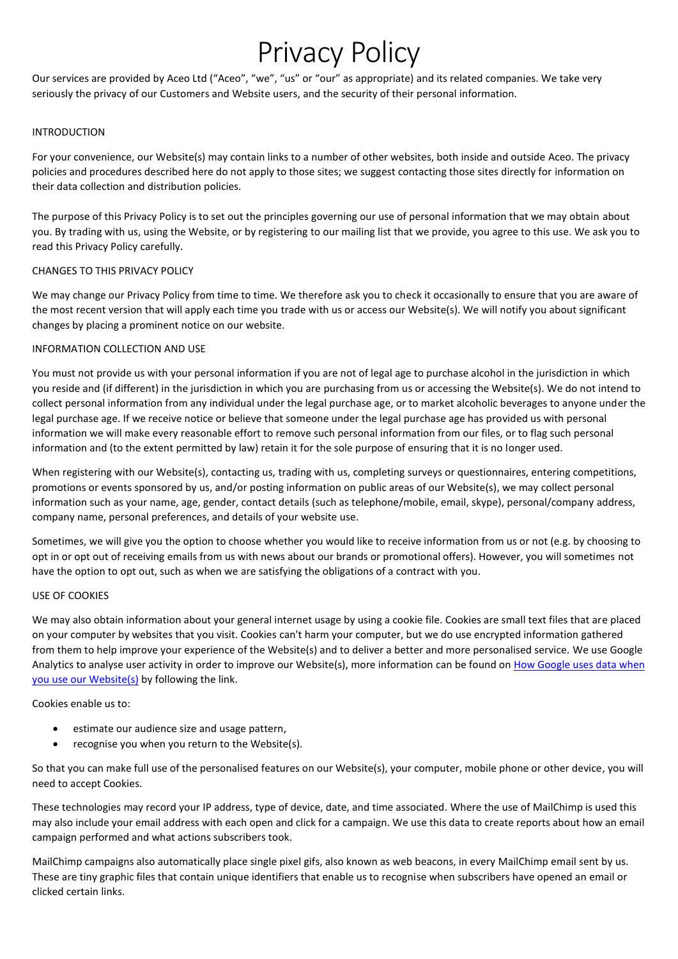# Privacy Policy

Our services are provided by Aceo Ltd ("Aceo", "we", "us" or "our" as appropriate) and its related companies. We take very seriously the privacy of our Customers and Website users, and the security of their personal information.

#### INTRODUCTION

For your convenience, our Website(s) may contain links to a number of other websites, both inside and outside Aceo. The privacy policies and procedures described here do not apply to those sites; we suggest contacting those sites directly for information on their data collection and distribution policies.

The purpose of this Privacy Policy is to set out the principles governing our use of personal information that we may obtain about you. By trading with us, using the Website, or by registering to our mailing list that we provide, you agree to this use. We ask you to read this Privacy Policy carefully.

## CHANGES TO THIS PRIVACY POLICY

We may change our Privacy Policy from time to time. We therefore ask you to check it occasionally to ensure that you are aware of the most recent version that will apply each time you trade with us or access our Website(s). We will notify you about significant changes by placing a prominent notice on our website.

## INFORMATION COLLECTION AND USE

You must not provide us with your personal information if you are not of legal age to purchase alcohol in the jurisdiction in which you reside and (if different) in the jurisdiction in which you are purchasing from us or accessing the Website(s). We do not intend to collect personal information from any individual under the legal purchase age, or to market alcoholic beverages to anyone under the legal purchase age. If we receive notice or believe that someone under the legal purchase age has provided us with personal information we will make every reasonable effort to remove such personal information from our files, or to flag such personal information and (to the extent permitted by law) retain it for the sole purpose of ensuring that it is no longer used.

When registering with our Website(s), contacting us, trading with us, completing surveys or questionnaires, entering competitions, promotions or events sponsored by us, and/or posting information on public areas of our Website(s), we may collect personal information such as your name, age, gender, contact details (such as telephone/mobile, email, skype), personal/company address, company name, personal preferences, and details of your website use.

Sometimes, we will give you the option to choose whether you would like to receive information from us or not (e.g. by choosing to opt in or opt out of receiving emails from us with news about our brands or promotional offers). However, you will sometimes not have the option to opt out, such as when we are satisfying the obligations of a contract with you.

## USE OF COOKIES

We may also obtain information about your general internet usage by using a cookie file. Cookies are small text files that are placed on your computer by websites that you visit. Cookies can't harm your computer, but we do use encrypted information gathered from them to help improve your experience of the Website(s) and to deliver a better and more personalised service. We use Google Analytics to analyse user activity in order to improve our Website(s), more information can be found on How Google uses data when [you use our Website\(s\)](https://policies.google.com/technologies/partner-sites?hl=en-GB&gl=uk) by following the link.

Cookies enable us to:

- estimate our audience size and usage pattern,
- recognise you when you return to the Website(s).

So that you can make full use of the personalised features on our Website(s), your computer, mobile phone or other device, you will need to accept Cookies.

These technologies may record your IP address, type of device, date, and time associated. Where the use of MailChimp is used this may also include your email address with each open and click for a campaign. We use this data to create reports about how an email campaign performed and what actions subscribers took.

MailChimp campaigns also automatically place single pixel gifs, also known as web beacons, in every MailChimp email sent by us. These are tiny graphic files that contain unique identifiers that enable us to recognise when subscribers have opened an email or clicked certain links.